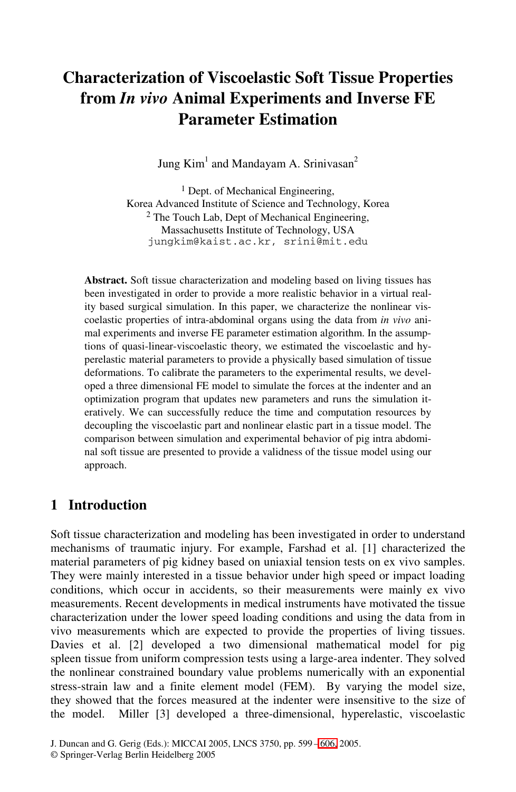# **Characterization of Viscoelastic Soft Tissue Properties from** *In vivo* **Animal Experiments and Inverse FE Parameter Estimation**

Jung  $Kim<sup>1</sup>$  and Mandayam A. Srinivasan<sup>2</sup>

 $<sup>1</sup>$  Dept. of Mechanical Engineering,</sup> Korea Advanced Institute of Science and Technology, Korea 2 The Touch Lab, Dept of Mechanical Engineering, Massachusetts Institute of Technology, USA jungkim@kaist.ac.kr, srini@mit.edu

**Abstract.** Soft tissue characterization and modeling based on living tissues has been investigated in order to provide a more realistic behavior in a virtual reality based surgical simulation. In this paper, we characterize the nonlinear viscoelastic properties of intra-abdominal organs using the data from *in vivo* animal experiments and inverse FE parameter estimation algorithm. In the assumptions of quasi-linear-viscoelastic theory, we estimated the viscoelastic and hyperelastic material parameters to provide a physically based simulation of tissue deformations. To calibrate the parameters to the experimental results, we developed a three dimensional FE model to simulate the forces at the indenter and an optimization program that updates new parameters and runs the simulation iteratively. We can successfully reduce the time and computation resources by decoupling the viscoelastic part and nonlinear elastic part in a tissue model. The comparison between simulation and experimental behavior of pig intra abdominal soft tissue are presented to provide a validness of the tissue model using our approach.

## **1 Introduction**

Soft tissue characterization and modeling has been investigated in order to understand mechanisms of traumatic injury. For example, Farshad et al. [1] characterized the material parameters of pig kidney based on uniaxial tension tests on ex vivo samples. They were mainly interested in a tissue behavior under high speed or impact loading conditions, which occur in accidents, so their measurements were mainly ex vivo measurements. Recent developments in medical instruments have motivated the tissue characterization under the lower speed loading conditions and using the data from in vivo measurements which are ex[pecte](#page-7-0)d to provide the properties of living tissues. Davies et al. [2] developed a two dimensional mathematical model for pig spleen tissue from uniform compression tests using a large-area indenter. They solved the nonlinear constrained boundary value problems numerically with an exponential stress-strain law and a finite element model (FEM). By varying the model size, they showed that the forces measured at the indenter were insensitive to the size of the model. Miller [3] developed a three-dimensional, hyperelastic, viscoelastic

J. Duncan and G. Gerig (Eds.): MICCAI 2005, LNCS 3750, pp. 599 – 606, 2005.

<sup>©</sup> Springer-Verlag Berlin Heidelberg 2005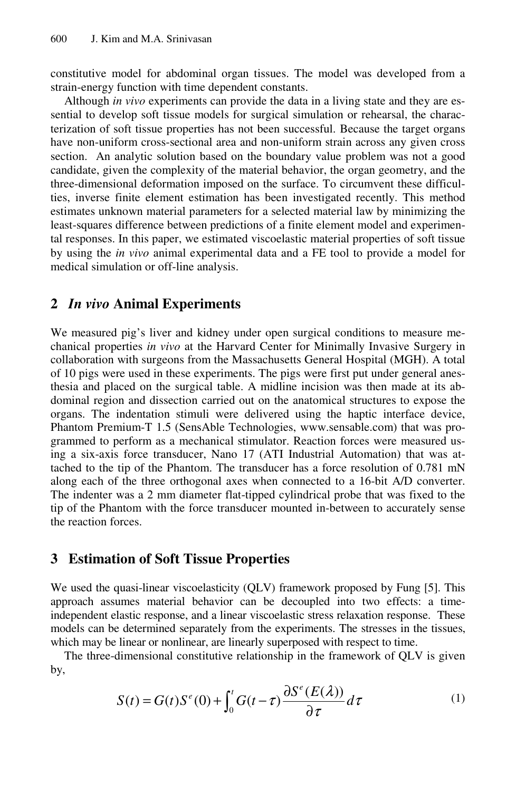constitutive model for abdominal organ tissues. The model was developed from a strain-energy function with time dependent constants.

Although *in vivo* experiments can provide the data in a living state and they are essential to develop soft tissue models for surgical simulation or rehearsal, the characterization of soft tissue properties has not been successful. Because the target organs have non-uniform cross-sectional area and non-uniform strain across any given cross section. An analytic solution based on the boundary value problem was not a good candidate, given the complexity of the material behavior, the organ geometry, and the three-dimensional deformation imposed on the surface. To circumvent these difficulties, inverse finite element estimation has been investigated recently. This method estimates unknown material parameters for a selected material law by minimizing the least-squares difference between predictions of a finite element model and experimental responses. In this paper, we estimated viscoelastic material properties of soft tissue by using the *in vivo* animal experimental data and a FE tool to provide a model for medical simulation or off-line analysis.

## **2** *In vivo* **Animal Experiments**

We measured pig's liver and kidney under open surgical conditions to measure mechanical properties *in vivo* at the Harvard Center for Minimally Invasive Surgery in collaboration with surgeons from the Massachusetts General Hospital (MGH). A total of 10 pigs were used in these experiments. The pigs were first put under general anesthesia and placed on the surgical table. A midline incision was then made at its abdominal region and dissection carried out on the anatomical structures to expose the organs. The indentation stimuli were delivered using the haptic interface device, Phantom Premium-T 1.5 (SensAble Technologies, www.sensable.com) that was programmed to perform as a mechanical stimulator. Reaction forces were measured using a six-axis force transducer, Nano 17 (ATI Industrial Automation) that was attached to the tip of the Phantom. The transducer has a force resolution of 0.781 mN along each of the three orthogonal axes when connected to a 16-bit A/D converter. The indenter was a 2 mm diameter flat-tipped cylindrical probe that was fixed to the tip of the Phantom with the force transducer mounted in-between to accurately sense the reaction forces.

## **3 Estimation of Soft Tissue Properties**

We used the quasi-linear viscoelasticity (QLV) framework proposed by Fung [5]. This approach assumes material behavior can be decoupled into two effects: a timeindependent elastic response, and a linear viscoelastic stress relaxation response. These models can be determined separately from the experiments. The stresses in the tissues, which may be linear or nonlinear, are linearly superposed with respect to time.

The three-dimensional constitutive relationship in the framework of QLV is given by,

$$
S(t) = G(t)S^{e}(0) + \int_{0}^{t} G(t-\tau) \frac{\partial S^{e}(E(\lambda))}{\partial \tau} d\tau
$$
 (1)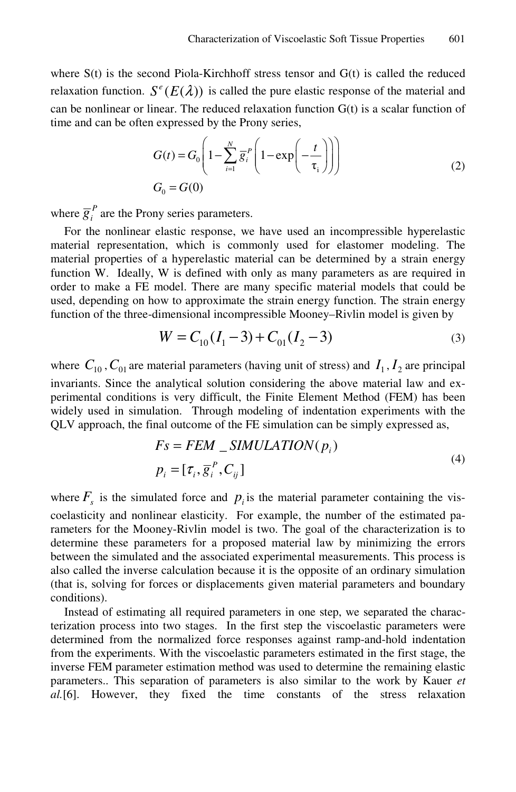where  $S(t)$  is the second Piola-Kirchhoff stress tensor and  $G(t)$  is called the reduced relaxation function.  $S^e(E(\lambda))$  is called the pure elastic response of the material and can be nonlinear or linear. The reduced relaxation function G(t) is a scalar function of time and can be often expressed by the Prony series,

$$
G(t) = G_0 \left( 1 - \sum_{i=1}^{N} \overline{g}_i^P \left( 1 - \exp\left( -\frac{t}{\tau_i} \right) \right) \right)
$$
  
\n
$$
G_0 = G(0)
$$
\n(2)

where  $\overline{g}_i^P$  are the Prony series parameters.

For the nonlinear elastic response, we have used an incompressible hyperelastic material representation, which is commonly used for elastomer modeling. The material properties of a hyperelastic material can be determined by a strain energy function W. Ideally, W is defined with only as many parameters as are required in order to make a FE model. There are many specific material models that could be used, depending on how to approximate the strain energy function. The strain energy function of the three-dimensional incompressible Mooney–Rivlin model is given by

$$
W = C_{10}(I_1 - 3) + C_{01}(I_2 - 3)
$$
\n(3)

where  $C_{10}$ ,  $C_{01}$  are material parameters (having unit of stress) and  $I_1$ ,  $I_2$  are principal invariants. Since the analytical solution considering the above material law and experimental conditions is very difficult, the Finite Element Method (FEM) has been widely used in simulation. Through modeling of indentation experiments with the QLV approach, the final outcome of the FE simulation can be simply expressed as,

$$
Fs = FEM\_SIMULATION (pi)
$$
  
\n
$$
pi = [\taui, \overline{g}iP, Cij]
$$
\n(4)

where  $F<sub>s</sub>$  is the simulated force and  $p<sub>i</sub>$  is the material parameter containing the viscoelasticity and nonlinear elasticity. For example, the number of the estimated parameters for the Mooney-Rivlin model is two. The goal of the characterization is to determine these parameters for a proposed material law by minimizing the errors between the simulated and the associated experimental measurements. This process is also called the inverse calculation because it is the opposite of an ordinary simulation (that is, solving for forces or displacements given material parameters and boundary conditions).

Instead of estimating all required parameters in one step, we separated the characterization process into two stages. In the first step the viscoelastic parameters were determined from the normalized force responses against ramp-and-hold indentation from the experiments. With the viscoelastic parameters estimated in the first stage, the inverse FEM parameter estimation method was used to determine the remaining elastic parameters.. This separation of parameters is also similar to the work by Kauer *et al.*[6]. However, they fixed the time constants of the stress relaxation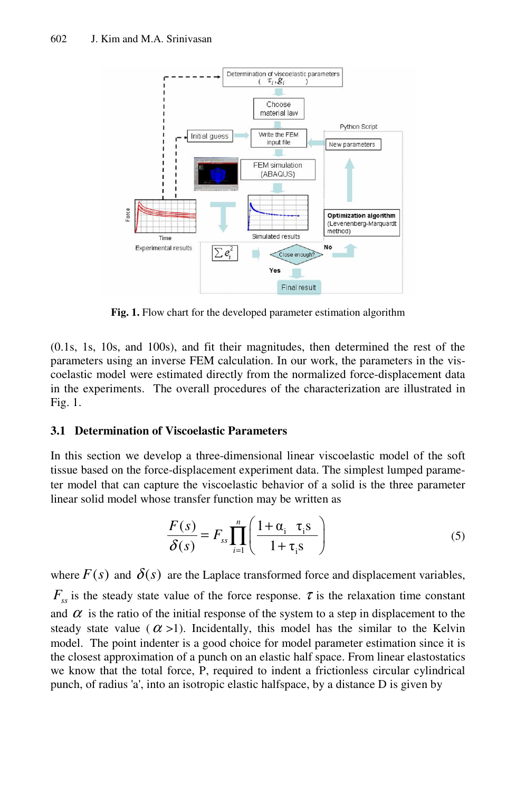

**Fig. 1.** Flow chart for the developed parameter estimation algorithm

(0.1s, 1s, 10s, and 100s), and fit their magnitudes, then determined the rest of the parameters using an inverse FEM calculation. In our work, the parameters in the viscoelastic model were estimated directly from the normalized force-displacement data in the experiments. The overall procedures of the characterization are illustrated in Fig. 1.

### **3.1 Determination of Viscoelastic Parameters**

In this section we develop a three-dimensional linear viscoelastic model of the soft tissue based on the force-displacement experiment data. The simplest lumped parameter model that can capture the viscoelastic behavior of a solid is the three parameter linear solid model whose transfer function may be written as

$$
\frac{F(s)}{\delta(s)} = F_{ss} \prod_{i=1}^{n} \left( \frac{1 + \alpha_i \tau_i s}{1 + \tau_i s} \right)
$$
(5)

where  $F(s)$  and  $\delta(s)$  are the Laplace transformed force and displacement variables,

 $F_{ss}$  is the steady state value of the force response.  $\tau$  is the relaxation time constant and  $\alpha$  is the ratio of the initial response of the system to a step in displacement to the steady state value ( $\alpha$  >1). Incidentally, this model has the similar to the Kelvin model. The point indenter is a good choice for model parameter estimation since it is the closest approximation of a punch on an elastic half space. From linear elastostatics we know that the total force, P, required to indent a frictionless circular cylindrical punch, of radius 'a', into an isotropic elastic halfspace, by a distance D is given by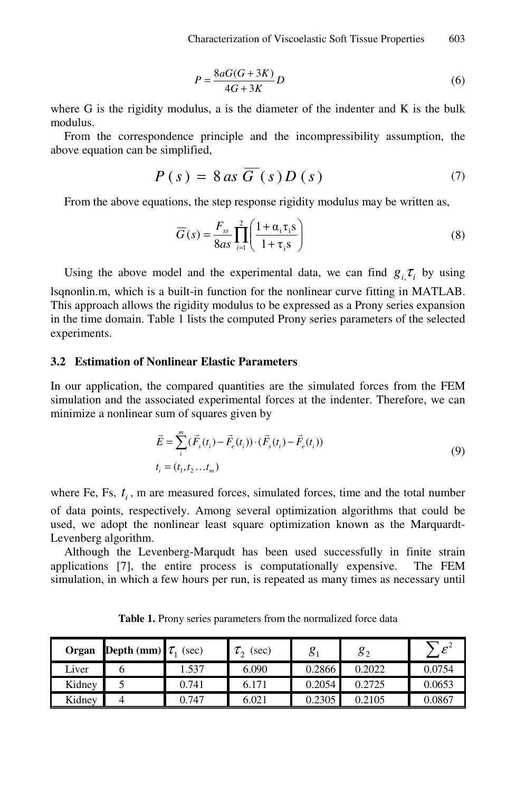$$
P = \frac{8aG(G+3K)}{4G+3K}D\tag{6}
$$

where G is the rigidity modulus, a is the diameter of the indenter and K is the bulk modulus.

From the correspondence principle and the incompressibility assumption, the above equation can be simplified,

$$
P(s) = 8 \, \text{as} \, \overline{G}(s) D(s) \tag{7}
$$

From the above equations, the step response rigidity modulus may be written as,

$$
\overline{G}(s) = \frac{F_{ss}}{8as} \prod_{i=1}^{2} \left( \frac{1 + \alpha_i \tau_i s}{1 + \tau_i s} \right)
$$
(8)

Using the above model and the experimental data, we can find  $g_i \tau_i$  by using lsqnonlin.m, which is a built-in function for the nonlinear curve fitting in MATLAB. This approach allows the rigidity modulus to be expressed as a Prony series expansion in the time domain. Table 1 lists the computed Prony series parameters of the selected experiments.

#### **3.2 Estimation of Nonlinear Elastic Parameters**

In our application, the compared quantities are the simulated forces from the FEM simulation and the associated experimental forces at the indenter. Therefore, we can minimize a nonlinear sum of squares given by

$$
\vec{E} = \sum_{i}^{m} (\vec{F}_s(t_i) - \vec{F}_e(t_i)) \cdot (\vec{F}_s(t_i) - \vec{F}_e(t_i))
$$
\n
$$
t_i = (t_1, t_2...t_m)
$$
\n(9)

where Fe, Fs,  $t_i$ , m are measured forces, simulated forces, time and the total number of data points, respectively. Among several optimization algorithms that could be used, we adopt the nonlinear least square optimization known as the Marquardt-Levenberg algorithm.

Although the Levenberg-Marqudt has been used successfully in finite strain applications [7], the entire process is computationally expensive. The FEM simulation, in which a few hours per run, is repeated as many times as necessary until

| Organ  | <b>Depth (mm)</b> $\tau_1$ (sec) |       | (sec) |        | ${\mathfrak g}_2$ | $\varepsilon^2$ |
|--------|----------------------------------|-------|-------|--------|-------------------|-----------------|
| Liver  |                                  | 1.537 | 6.090 | 0.2866 | 0.2022            | 0.0754          |
| Kidney |                                  | 0.741 | 6.171 | 0.2054 | 0.2725            | 0.0653          |
| Kidney |                                  | 0.747 | 6.021 | 0.2305 | 0.2105            | 0.0867          |

**Table 1.** Prony series parameters from the normalized force data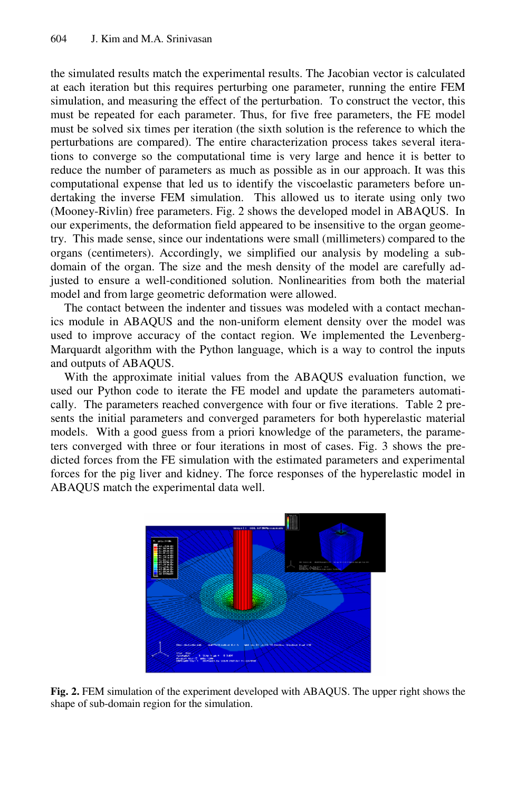the simulated results match the experimental results. The Jacobian vector is calculated at each iteration but this requires perturbing one parameter, running the entire FEM simulation, and measuring the effect of the perturbation. To construct the vector, this must be repeated for each parameter. Thus, for five free parameters, the FE model must be solved six times per iteration (the sixth solution is the reference to which the perturbations are compared). The entire characterization process takes several iterations to converge so the computational time is very large and hence it is better to reduce the number of parameters as much as possible as in our approach. It was this computational expense that led us to identify the viscoelastic parameters before undertaking the inverse FEM simulation. This allowed us to iterate using only two (Mooney-Rivlin) free parameters. Fig. 2 shows the developed model in ABAQUS. In our experiments, the deformation field appeared to be insensitive to the organ geometry. This made sense, since our indentations were small (millimeters) compared to the organs (centimeters). Accordingly, we simplified our analysis by modeling a subdomain of the organ. The size and the mesh density of the model are carefully adjusted to ensure a well-conditioned solution. Nonlinearities from both the material model and from large geometric deformation were allowed.

The contact between the indenter and tissues was modeled with a contact mechanics module in ABAQUS and the non-uniform element density over the model was used to improve accuracy of the contact region. We implemented the Levenberg-Marquardt algorithm with the Python language, which is a way to control the inputs and outputs of ABAQUS.

With the approximate initial values from the ABAQUS evaluation function, we used our Python code to iterate the FE model and update the parameters automatically. The parameters reached convergence with four or five iterations. Table 2 presents the initial parameters and converged parameters for both hyperelastic material models. With a good guess from a priori knowledge of the parameters, the parameters converged with three or four iterations in most of cases. Fig. 3 shows the predicted forces from the FE simulation with the estimated parameters and experimental forces for the pig liver and kidney. The force responses of the hyperelastic model in ABAQUS match the experimental data well.



**Fig. 2.** FEM simulation of the experiment developed with ABAQUS. The upper right shows the shape of sub-domain region for the simulation.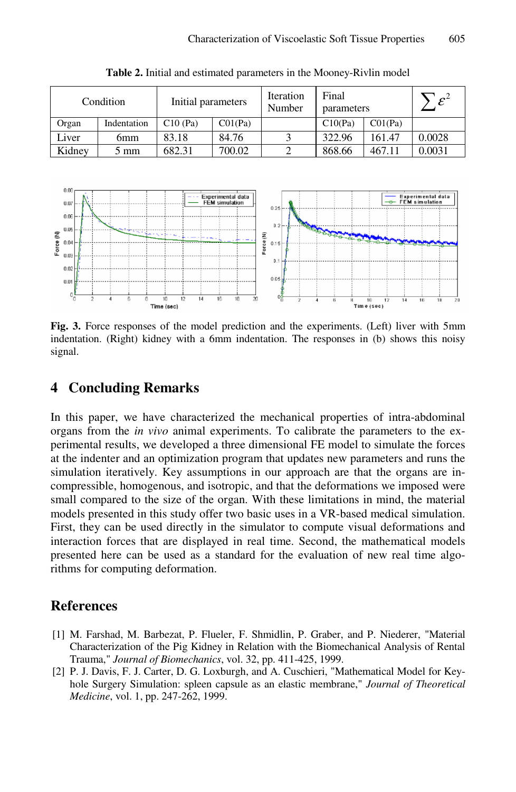| Condition |                 | Initial parameters |         | Iteration<br>Number | Final<br>parameters |         | $\varepsilon^2$ |
|-----------|-----------------|--------------------|---------|---------------------|---------------------|---------|-----------------|
| Organ     | Indentation     | C10(Pa)            | CO1(Pa) |                     | C10(Pa)             | CO1(Pa) |                 |
| Liver     | 6 <sub>mm</sub> | 83.18              | 84.76   |                     | 322.96              | 161.47  | 0.0028          |
| Kidney    | $5 \text{ mm}$  | 682.31             | 700.02  |                     | 868.66              | 467.11  | 0.0031          |
|           |                 |                    |         |                     |                     |         |                 |

**Table 2.** Initial and estimated parameters in the Mooney-Rivlin model



**Fig. 3.** Force responses of the model prediction and the experiments. (Left) liver with 5mm indentation. (Right) kidney with a 6mm indentation. The responses in (b) shows this noisy signal.

## **4 Concluding Remarks**

In this paper, we have characterized the mechanical properties of intra-abdominal organs from the *in vivo* animal experiments. To calibrate the parameters to the experimental results, we developed a three dimensional FE model to simulate the forces at the indenter and an optimization program that updates new parameters and runs the simulation iteratively. Key assumptions in our approach are that the organs are incompressible, homogenous, and isotropic, and that the deformations we imposed were small compared to the size of the organ. With these limitations in mind, the material models presented in this study offer two basic uses in a VR-based medical simulation. First, they can be used directly in the simulator to compute visual deformations and interaction forces that are displayed in real time. Second, the mathematical models presented here can be used as a standard for the evaluation of new real time algorithms for computing deformation.

## **References**

- [1] M. Farshad, M. Barbezat, P. Flueler, F. Shmidlin, P. Graber, and P. Niederer, "Material Characterization of the Pig Kidney in Relation with the Biomechanical Analysis of Rental Trauma," *Journal of Biomechanics*, vol. 32, pp. 411-425, 1999.
- [2] P. J. Davis, F. J. Carter, D. G. Loxburgh, and A. Cuschieri, "Mathematical Model for Keyhole Surgery Simulation: spleen capsule as an elastic membrane," *Journal of Theoretical Medicine*, vol. 1, pp. 247-262, 1999.